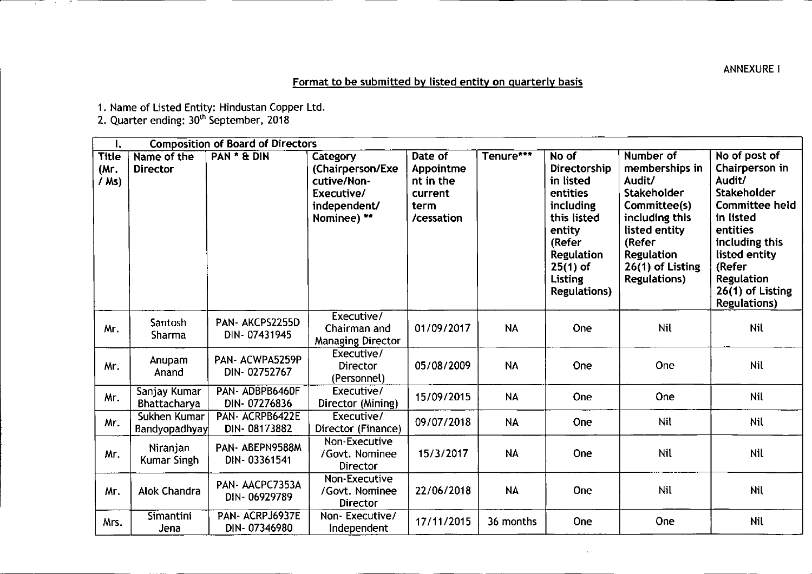## ANNEXUREI

# Format to be submitted by listed entity on quarterly basis

1. Name of Listed Entity: Hindustan Copper Ltd.

2. Quarter ending: 30<sup>th</sup> September, 2018

ਕਾਰ ਦੇ ਕ

| Ι.                            | <b>Composition of Board of Directors</b> |                                 |                                                                                          |                                                                    |           |                                                                                                                                                                      |                                                                                                                                                                                   |                                                                                                                                                                                                                                 |
|-------------------------------|------------------------------------------|---------------------------------|------------------------------------------------------------------------------------------|--------------------------------------------------------------------|-----------|----------------------------------------------------------------------------------------------------------------------------------------------------------------------|-----------------------------------------------------------------------------------------------------------------------------------------------------------------------------------|---------------------------------------------------------------------------------------------------------------------------------------------------------------------------------------------------------------------------------|
| <b>Title</b><br>(Mr.<br>/ Ms) | Name of the<br><b>Director</b>           | PAN * & DIN                     | Category<br>(Chairperson/Exe<br>cutive/Non-<br>Executive/<br>independent/<br>Nominee) ** | Date of<br>Appointme<br>nt in the<br>current<br>term<br>/cessation | Tenure*** | No of<br>Directorship<br>in listed<br>entities<br>including<br>this listed<br>entity<br>(Refer<br><b>Regulation</b><br>$25(1)$ of<br>Listing<br><b>Regulations</b> ) | Number of<br>memberships in<br>Audit/<br>Stakeholder<br>Committee(s)<br>including this<br>listed entity<br>(Refer<br><b>Regulation</b><br>26(1) of Listing<br><b>Regulations)</b> | No of post of<br>Chairperson in<br>Audit/<br><b>Stakeholder</b><br><b>Committee held</b><br>in listed<br>entities<br>including this<br>listed entity<br>(Refer<br><b>Regulation</b><br>26(1) of Listing<br><b>Regulations</b> ) |
| Mr.                           | Santosh<br>Sharma                        | PAN-AKCPS2255D<br>DIN-07431945  | Executive/<br>Chairman and<br><b>Managing Director</b>                                   | 01/09/2017                                                         | <b>NA</b> | One                                                                                                                                                                  | <b>Nil</b>                                                                                                                                                                        | <b>Nil</b>                                                                                                                                                                                                                      |
| Mr.                           | Anupam<br>Anand                          | PAN-ACWPA5259P<br>DIN-02752767  | Executive/<br><b>Director</b><br>(Personnel)                                             | 05/08/2009                                                         | <b>NA</b> | One                                                                                                                                                                  | One                                                                                                                                                                               | <b>Nil</b>                                                                                                                                                                                                                      |
| Mr.                           | Sanjay Kumar<br>Bhattacharya             | PAN-ADBPB6460F<br>DIN-07276836  | Executive/<br>Director (Mining)                                                          | 15/09/2015                                                         | <b>NA</b> | One                                                                                                                                                                  | One                                                                                                                                                                               | <b>Nil</b>                                                                                                                                                                                                                      |
| Mr.                           | Sukhen Kumar<br>Bandyopadhyay            | PAN-ACRPB6422E<br>DIN-08173882  | Executive/<br>Director (Finance)                                                         | 09/07/2018                                                         | <b>NA</b> | One                                                                                                                                                                  | Nil                                                                                                                                                                               | Nil                                                                                                                                                                                                                             |
| Mr.                           | Niranjan<br>Kumar Singh                  | PAN-ABEPN9588M<br>DIN-03361541  | Non-Executive<br>/Govt. Nominee<br>Director                                              | 15/3/2017                                                          | <b>NA</b> | One                                                                                                                                                                  | Nil                                                                                                                                                                               | Nil                                                                                                                                                                                                                             |
| Mr.                           | <b>Alok Chandra</b>                      | PAN-AACPC7353A<br>DIN-06929789  | Non-Executive<br>/Govt. Nominee<br><b>Director</b>                                       | 22/06/2018                                                         | <b>NA</b> | One                                                                                                                                                                  | Nil                                                                                                                                                                               | Nil                                                                                                                                                                                                                             |
| Mrs.                          | <b>Simantini</b><br>Jena                 | PAN- ACRPJ6937E<br>DIN-07346980 | Non-Executive/<br>Independent                                                            | 17/11/2015                                                         | 36 months | <b>One</b>                                                                                                                                                           | One                                                                                                                                                                               | <b>Nil</b>                                                                                                                                                                                                                      |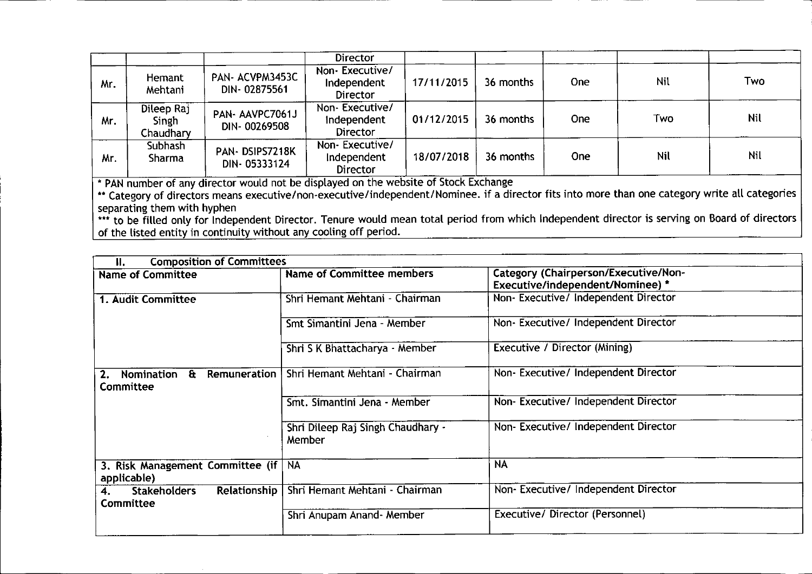|     |                                  |                                | <b>Director</b>                           |            |           |      |            |            |
|-----|----------------------------------|--------------------------------|-------------------------------------------|------------|-----------|------|------------|------------|
| Mr. | Hemant<br>Mehtani                | PAN-ACVPM3453C<br>DIN-02875561 | Non-Executive/<br>Independent<br>Director | 17/11/2015 | 36 months | One: | Nil        | Two        |
| Mr. | Dileep Raj<br>Singh<br>Chaudhary | PAN-AAVPC7061J<br>DIN-00269508 | Non-Executive/<br>Independent<br>Director | 01/12/2015 | 36 months | One. | Two        | <b>Nil</b> |
| Mr. | Subhash<br>Sharma                | PAN-DSIPS7218K<br>DIN-05333124 | Non-Executive/<br>Independent<br>Director | 18/07/2018 | 36 months | One  | <b>Nil</b> | Nil        |

• PAN number of any director would not be displayed on the website of Stock Exchange

\*\* Category of directors means executive/non-executive/independent/Nominee. if a director fits into more than one category write all categorie separating them with hyphen

••• to be filled only for Independent Director. Tenure would mean total period from which Independent director is serving on Board of directors of the listed entity in continuity without any cooling off period.

| <b>Composition of Committees</b><br>Н.                               |                                             |                                                                          |  |  |  |
|----------------------------------------------------------------------|---------------------------------------------|--------------------------------------------------------------------------|--|--|--|
| <b>Name of Committee</b>                                             | Name of Committee members                   | Category (Chairperson/Executive/Non-<br>Executive/independent/Nominee) * |  |  |  |
| 1. Audit Committee                                                   | Shri Hemant Mehtani - Chairman              | Non-Executive/ Independent Director                                      |  |  |  |
|                                                                      | Smt Simantini Jena - Member                 | Non- Executive/ Independent Director                                     |  |  |  |
|                                                                      | Shri S K Bhattacharya - Member              | Executive / Director (Mining)                                            |  |  |  |
| <b>Remuneration</b><br>Nomination<br>$\mathbf{a}$<br>2.<br>Committee | Shri Hemant Mehtani - Chairman              | Non-Executive/Independent Director                                       |  |  |  |
|                                                                      | Smt. Simantini Jena - Member                | Non-Executive/Independent Director                                       |  |  |  |
|                                                                      | Shri Dileep Raj Singh Chaudhary -<br>Member | Non-Executive/Independent Director                                       |  |  |  |
| 3. Risk Management Committee (if  <br>applicable)                    | <b>NA</b>                                   | <b>NA</b>                                                                |  |  |  |
| <b>Relationship</b><br><b>Stakeholders</b><br>Committee              | Shri Hemant Mehtani - Chairman              | Non-Executive/Independent Director                                       |  |  |  |
|                                                                      | Shri Anupam Anand- Member                   | Executive/Director (Personnel)                                           |  |  |  |

~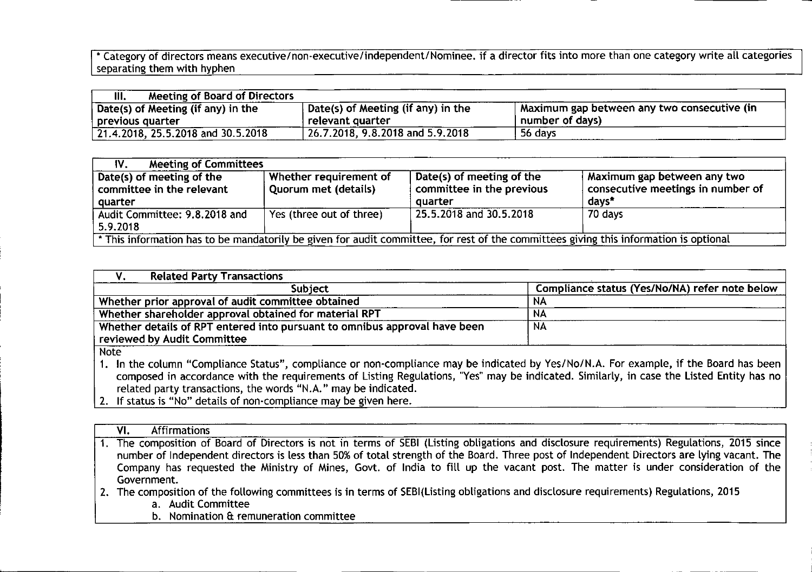\* Category of directors means executive/non-executive/independent/Nominee. if a director fits into more than one category write all categories  $\, \mid \,$ separating them with hyphen

| <b>Meeting of Board of Directors</b><br>III. |                                    |                                             |
|----------------------------------------------|------------------------------------|---------------------------------------------|
| $\vert$ Date(s) of Meeting (if any) in the   | Date(s) of Meeting (if any) in the | Maximum gap between any two consecutive (in |
| previous quarter                             | relevant quarter                   | number of days)                             |
| $  21.4.2018, 25.5.2018$ and 30.5.2018       | 26.7.2018, 9.8.2018 and 5.9.2018   | 56 days                                     |

| <b>Meeting of Committees</b><br>IV.                                                                                                   |                                                       |                                                        |                                                                  |  |
|---------------------------------------------------------------------------------------------------------------------------------------|-------------------------------------------------------|--------------------------------------------------------|------------------------------------------------------------------|--|
| Date(s) of meeting of the<br>committee in the relevant                                                                                | Whether requirement of<br><b>Quorum met (details)</b> | Date(s) of meeting of the<br>committee in the previous | Maximum gap between any two<br>consecutive meetings in number of |  |
| quarter                                                                                                                               |                                                       | quarter                                                | days*                                                            |  |
| Audit Committee: 9.8.2018 and<br>5.9.2018                                                                                             | Yes (three out of three)                              | 25.5.2018 and 30.5.2018                                | 70 days                                                          |  |
| * This information has to be mandatorily be given for audit committee, for rest of the committees giving this information is optional |                                                       |                                                        |                                                                  |  |

| <b>Related Party Transactions</b>                                          |                                                |  |  |  |
|----------------------------------------------------------------------------|------------------------------------------------|--|--|--|
| <b>Subject</b>                                                             | Compliance status (Yes/No/NA) refer note below |  |  |  |
| Whether prior approval of audit committee obtained                         | NA                                             |  |  |  |
| Whether shareholder approval obtained for material RPT                     | NA                                             |  |  |  |
| Whether details of RPT entered into pursuant to omnibus approval have been | NA                                             |  |  |  |
| reviewed by Audit Committee                                                |                                                |  |  |  |
| N <sub>min</sub>                                                           |                                                |  |  |  |

Note

- 1. In the column "Compliance Status", compliance or non-compliance may be indicated by Yes/No/N.A. For example, if the Board has been composed in accordance with the requirements of Listing Regulations, "Yes" may be indicated. Similarly, in case the Listed Entity has no related party transactions, the words "N.A." may be indicated.
- 2. If status is "No" details of non-compliance may be given here.

| <b>Affirmations</b><br>VI.                                                                                                                 |
|--------------------------------------------------------------------------------------------------------------------------------------------|
| 1. The composition of Board of Directors is not in terms of SEBI (Listing obligations and disclosure requirements) Regulations, 2015 since |
| number of Independent directors is less than 50% of total strength of the Board. Three post of Independent Directors are lying vacant. The |
| Company has requested the Ministry of Mines, Govt. of India to fill up the vacant post. The matter is under consideration of the           |
| Government.                                                                                                                                |
| The composition of the following committees is in terms of CERU isting obligations and disclosure requirements) Regulations, 2015          |

2. The composition of the following committees is in terms of SEBI(Listing obligations and disclosure requirements) Regulations, 2015

a. Audit Committee

b. Nomination & remuneration committee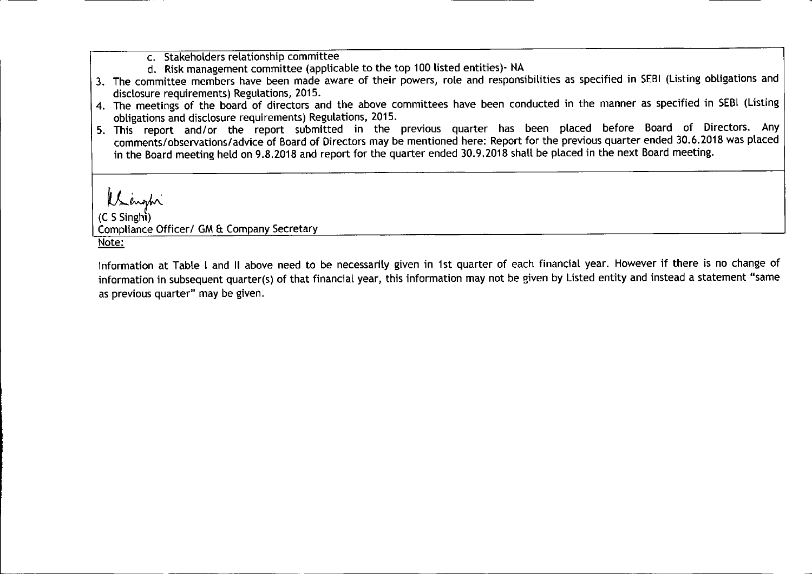- c. Stakeholders relationship committee
- d. Risk management committee (applicable to the top 100 listed entities)- NA
- 3. The committee members have been made aware of their powers, role and responsibilities as specified in SEBI(Listing obligations and disclosure requirements) Regulations, 2015.
- 4. The meetings of the board of directors and the above committees have been conducted in the manner as specified in SEBI(Listing obligations and disclosure requirements) Regulations, 2015.
- 5. This report and/or the report submitted in the previous quarter has been placed before Board of Directors. Any comments/observations/advice of Board of Directors may be mentioned here: Report for the previous quarter ended 30.6.2018 was placed in the Board meeting held on 9.8.2018 and report for the quarter ended 30.9.2018 shall be placed in the next Board meeting.

Unahi

 $(C S$ Singhi $)$ Compliance Officer/ GM & Company Secretary Note:

Information at Table I and II above need to be necessarily given in 1st quarter of each financial year. However if there is no change of information in subsequent quarter(s) of that financial year, this information may not be given by Listed entity and instead a statement "same as previous quarter" may be given.